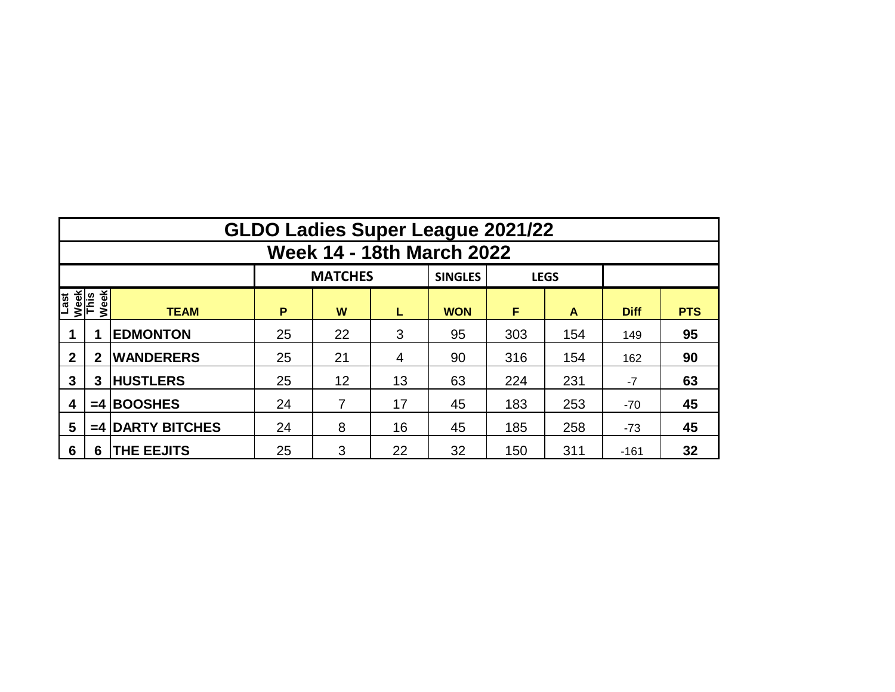|                                     | <b>GLDO Ladies Super League 2021/22</b> |                    |    |                |    |                |     |             |             |            |  |  |  |  |  |
|-------------------------------------|-----------------------------------------|--------------------|----|----------------|----|----------------|-----|-------------|-------------|------------|--|--|--|--|--|
|                                     | <b>Week 14 - 18th March 2022</b>        |                    |    |                |    |                |     |             |             |            |  |  |  |  |  |
|                                     |                                         |                    |    | <b>MATCHES</b> |    | <b>SINGLES</b> |     | <b>LEGS</b> |             |            |  |  |  |  |  |
| Week<br>This<br>Week<br><b>Last</b> |                                         | <b>TEAM</b>        | P  | W              | L  | <b>WON</b>     | F   | A           | <b>Diff</b> | <b>PTS</b> |  |  |  |  |  |
|                                     |                                         | <b>EDMONTON</b>    | 25 | 22             | 3  | 95             | 303 | 154         | 149         | 95         |  |  |  |  |  |
| $\mathbf{2}$                        | $\mathbf{2}$                            | <b>WANDERERS</b>   | 25 | 21             | 4  | 90             | 316 | 154         | 162         | 90         |  |  |  |  |  |
| 3                                   | 3                                       | <b>HUSTLERS</b>    | 25 | 12             | 13 | 63             | 224 | 231         | -7          | 63         |  |  |  |  |  |
| 4                                   | $=4$                                    | <b>BOOSHES</b>     | 24 | 7              | 17 | 45             | 183 | 253         | $-70$       | 45         |  |  |  |  |  |
| 5                                   |                                         | $=4$ DARTY BITCHES | 24 | 8              | 16 | 45             | 185 | 258         | $-73$       | 45         |  |  |  |  |  |
| $6\phantom{1}6$                     | 6                                       | <b>THE EEJITS</b>  | 25 | 3              | 22 | 32             | 150 | 311         | $-161$      | 32         |  |  |  |  |  |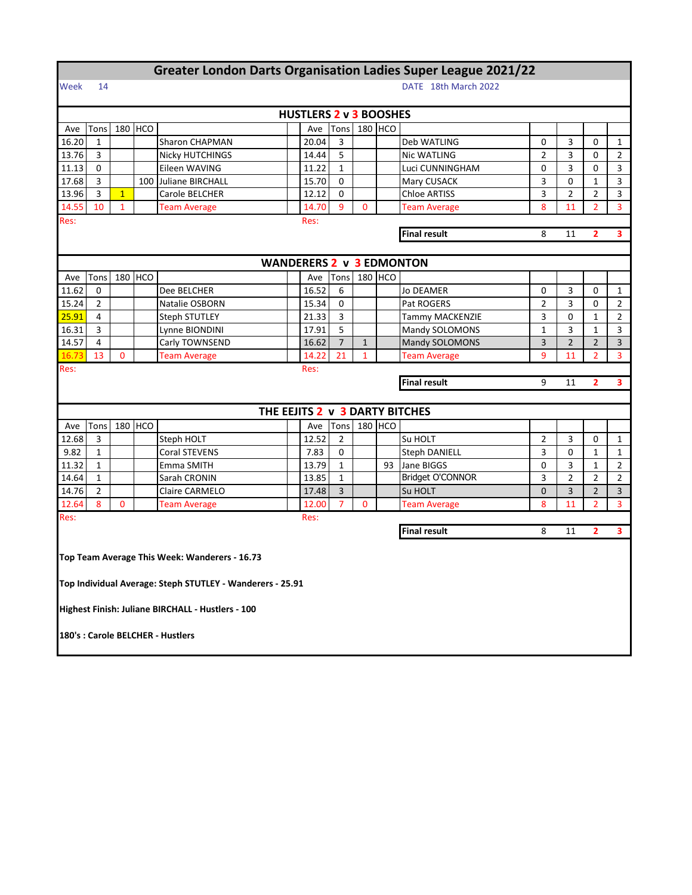| <b>Greater London Darts Organisation Ladies Super League 2021/22</b> |                                                       |                      |         |                                                           |  |                                 |                |              |         |                                |                |                |                |                         |
|----------------------------------------------------------------------|-------------------------------------------------------|----------------------|---------|-----------------------------------------------------------|--|---------------------------------|----------------|--------------|---------|--------------------------------|----------------|----------------|----------------|-------------------------|
| Week                                                                 | 14                                                    | DATE 18th March 2022 |         |                                                           |  |                                 |                |              |         |                                |                |                |                |                         |
|                                                                      |                                                       |                      |         |                                                           |  | <b>HUSTLERS 2 v 3 BOOSHES</b>   |                |              |         |                                |                |                |                |                         |
| Ave                                                                  | Tons                                                  |                      | 180 HCO |                                                           |  | Ave                             | Tons           |              | 180 HCO |                                |                |                |                |                         |
| 16.20                                                                | 1                                                     |                      |         | Sharon CHAPMAN                                            |  | 20.04                           | 3              |              |         | Deb WATLING                    | 3              | 0              | 1              |                         |
| 13.76                                                                | 3                                                     |                      |         | <b>Nicky HUTCHINGS</b>                                    |  | 14.44                           | 5              |              |         | Nic WATLING                    | 2              | 3              | 0              | 2                       |
| 11.13                                                                | 0                                                     |                      |         | Eileen WAVING                                             |  | 11.22                           | $\mathbf{1}$   |              |         | Luci CUNNINGHAM                | 0              | 3              | 0              | 3                       |
| 17.68                                                                | 3                                                     |                      |         | 100 Juliane BIRCHALL                                      |  | 15.70                           | $\mathbf 0$    |              |         | Mary CUSACK                    | 3              | 0              | $\mathbf{1}$   | 3                       |
| 13.96                                                                | 3                                                     | $\mathbf{1}$         |         | Carole BELCHER                                            |  | 12.12                           | 0              |              |         | <b>Chloe ARTISS</b>            | 3              | $\overline{2}$ | $\overline{2}$ | 3                       |
| 14.55                                                                | 10                                                    | $\mathbf{1}$         |         | <b>Team Average</b>                                       |  | 14.70                           | 9              | 0            |         | <b>Team Average</b>            | 8              | 11             | $\overline{2}$ | 3                       |
| Res:<br>Res:                                                         |                                                       |                      |         |                                                           |  |                                 |                |              |         |                                |                |                |                |                         |
| <b>Final result</b><br>$\overline{2}$<br>8<br>11                     |                                                       |                      |         |                                                           |  |                                 |                |              |         |                                |                |                | 3              |                         |
|                                                                      |                                                       |                      |         |                                                           |  |                                 |                |              |         |                                |                |                |                |                         |
|                                                                      |                                                       |                      |         |                                                           |  | <b>WANDERERS 2 v 3 EDMONTON</b> |                |              |         |                                |                |                |                |                         |
| Ave                                                                  | Tons                                                  |                      | 180 HCO |                                                           |  | Ave                             | Tons           |              | 180 HCO |                                |                |                |                |                         |
| 11.62                                                                | 0                                                     |                      |         | Dee BELCHER                                               |  | 16.52                           | 6              |              |         | Jo DEAMER                      | 0              | 3              | 0              | 1                       |
| 15.24                                                                | 2                                                     |                      |         | Natalie OSBORN                                            |  | 15.34                           | 0              |              |         | Pat ROGERS                     | 2              | 3              | 0              | 2                       |
| 25.91                                                                | 4                                                     |                      |         | <b>Steph STUTLEY</b>                                      |  | 21.33                           | 3              |              |         | <b>Tammy MACKENZIE</b>         | 3              | 0              | $\mathbf{1}$   | $\overline{2}$          |
| 16.31                                                                | 3                                                     |                      |         | Lynne BIONDINI                                            |  | 17.91                           | 5              |              |         | Mandy SOLOMONS                 | $\mathbf{1}$   | 3              | $\mathbf{1}$   | 3                       |
| 14.57                                                                | 4                                                     |                      |         | Carly TOWNSEND                                            |  | 16.62                           | $\overline{7}$ | $\mathbf{1}$ |         | Mandy SOLOMONS                 | 3              | $\overline{2}$ | $\overline{2}$ | 3                       |
| 16.73                                                                | 13                                                    | $\mathbf{0}$         |         | <b>Team Average</b>                                       |  | 14.22                           | 21             | $\mathbf{1}$ |         | <b>Team Average</b>            | 9              | 11             | $\overline{2}$ | 3                       |
| Res:                                                                 |                                                       |                      |         |                                                           |  | Res:                            |                |              |         |                                |                |                |                |                         |
|                                                                      | <b>Final result</b><br>3<br>9<br>11<br>$\overline{2}$ |                      |         |                                                           |  |                                 |                |              |         |                                |                |                |                |                         |
|                                                                      |                                                       |                      |         |                                                           |  |                                 |                |              |         |                                |                |                |                |                         |
|                                                                      |                                                       |                      |         |                                                           |  |                                 |                |              |         | THE EEJITS 2 v 3 DARTY BITCHES |                |                |                |                         |
| Ave                                                                  | Tons                                                  |                      | 180 HCO |                                                           |  | Ave                             | Tons           |              | 180 HCO |                                |                |                |                |                         |
| 12.68                                                                | 3                                                     |                      |         | Steph HOLT                                                |  | 12.52                           | $\overline{2}$ |              |         | Su HOLT                        | $\overline{2}$ | 3              | 0              | 1                       |
| 9.82                                                                 | $\mathbf{1}$                                          |                      |         | Coral STEVENS                                             |  | 7.83                            | 0              |              |         | <b>Steph DANIELL</b>           | 3              | 0              | $\mathbf{1}$   | $\mathbf{1}$            |
| 11.32                                                                | $\mathbf{1}$                                          |                      |         | Emma SMITH                                                |  | 13.79                           | $\mathbf{1}$   |              | 93      | Jane BIGGS                     | 0              | 3              | $\mathbf{1}$   | $\overline{2}$          |
| 14.64                                                                | $\mathbf{1}$                                          |                      |         | Sarah CRONIN                                              |  | 13.85                           | $\mathbf{1}$   |              |         | Bridget O'CONNOR               | 3              | $\overline{2}$ | $\overline{2}$ | $\overline{2}$          |
| 14.76                                                                | 2                                                     |                      |         | Claire CARMELO                                            |  | 17.48                           | 3              |              |         | Su HOLT                        | 0              | 3              | $\overline{2}$ | 3                       |
| 12.64                                                                | 8                                                     | $\mathbf 0$          |         | <b>Team Average</b>                                       |  | 12.00                           | 7              | $\mathbf{0}$ |         | <b>Team Average</b>            | 8              | 11             | $\overline{2}$ | 3                       |
| Res:                                                                 |                                                       |                      |         |                                                           |  | Res:                            |                |              |         |                                |                |                |                |                         |
|                                                                      |                                                       |                      |         |                                                           |  |                                 |                |              |         | <b>Final result</b>            | 8              | 11             | $\overline{2}$ | $\overline{\mathbf{3}}$ |
|                                                                      |                                                       |                      |         |                                                           |  |                                 |                |              |         |                                |                |                |                |                         |
|                                                                      |                                                       |                      |         | Top Team Average This Week: Wanderers - 16.73             |  |                                 |                |              |         |                                |                |                |                |                         |
|                                                                      |                                                       |                      |         |                                                           |  |                                 |                |              |         |                                |                |                |                |                         |
|                                                                      |                                                       |                      |         | Top Individual Average: Steph STUTLEY - Wanderers - 25.91 |  |                                 |                |              |         |                                |                |                |                |                         |
|                                                                      |                                                       |                      |         |                                                           |  |                                 |                |              |         |                                |                |                |                |                         |
|                                                                      |                                                       |                      |         | Highest Finish: Juliane BIRCHALL - Hustlers - 100         |  |                                 |                |              |         |                                |                |                |                |                         |
| 180's : Carole BELCHER - Hustlers                                    |                                                       |                      |         |                                                           |  |                                 |                |              |         |                                |                |                |                |                         |